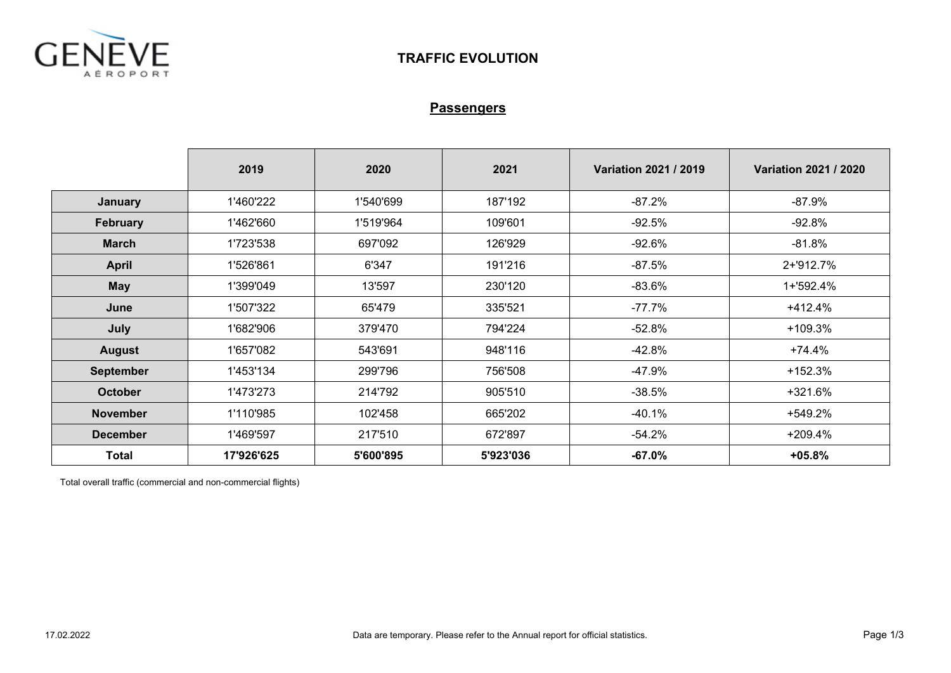

## **Passengers**

|                  | 2019       | 2020      | 2021      | Variation 2021 / 2019 | Variation 2021 / 2020 |
|------------------|------------|-----------|-----------|-----------------------|-----------------------|
| January          | 1'460'222  | 1'540'699 | 187'192   | $-87.2%$              | $-87.9%$              |
| <b>February</b>  | 1'462'660  | 1'519'964 | 109'601   | $-92.5%$              | $-92.8%$              |
| <b>March</b>     | 1'723'538  | 697'092   | 126'929   | $-92.6%$              | $-81.8%$              |
| <b>April</b>     | 1'526'861  | 6'347     | 191'216   | $-87.5%$              | 2+'912.7%             |
| <b>May</b>       | 1'399'049  | 13'597    | 230'120   | -83.6%                | 1+'592.4%             |
| June             | 1'507'322  | 65'479    | 335'521   | $-77.7%$              | $+412.4%$             |
| July             | 1'682'906  | 379'470   | 794'224   | $-52.8%$              | +109.3%               |
| <b>August</b>    | 1'657'082  | 543'691   | 948'116   | $-42.8%$              | $+74.4%$              |
| <b>September</b> | 1'453'134  | 299'796   | 756'508   | $-47.9%$              | $+152.3%$             |
| <b>October</b>   | 1'473'273  | 214'792   | 905'510   | $-38.5%$              | $+321.6%$             |
| <b>November</b>  | 1'110'985  | 102'458   | 665'202   | -40.1%                | +549.2%               |
| <b>December</b>  | 1'469'597  | 217'510   | 672'897   | $-54.2%$              | $+209.4%$             |
| <b>Total</b>     | 17'926'625 | 5'600'895 | 5'923'036 | $-67.0%$              | $+05.8%$              |

Total overall traffic (commercial and non-commercial flights)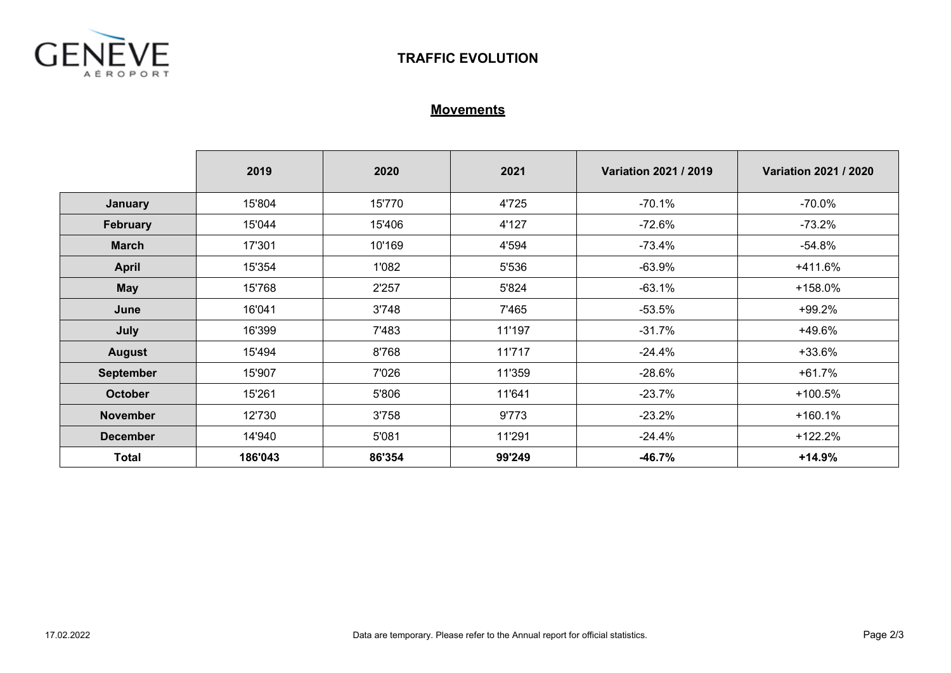

## **Movements**

|                  | 2019    | 2020   | 2021   | Variation 2021 / 2019 | <b>Variation 2021 / 2020</b> |  |
|------------------|---------|--------|--------|-----------------------|------------------------------|--|
| January          | 15'804  | 15'770 | 4'725  | $-70.1%$              | $-70.0%$                     |  |
| February         | 15'044  | 15'406 | 4'127  | $-72.6%$              | $-73.2%$                     |  |
| <b>March</b>     | 17'301  | 10'169 | 4'594  | $-73.4%$              | $-54.8%$                     |  |
| <b>April</b>     | 15'354  | 1'082  | 5'536  | $-63.9%$              | +411.6%                      |  |
| <b>May</b>       | 15'768  | 2'257  | 5'824  | $-63.1%$              | +158.0%                      |  |
| June             | 16'041  | 3'748  | 7'465  | $-53.5%$              | $+99.2%$                     |  |
| July             | 16'399  | 7'483  | 11'197 | $-31.7%$              | +49.6%                       |  |
| <b>August</b>    | 15'494  | 8'768  | 11'717 | $-24.4%$              | +33.6%                       |  |
| <b>September</b> | 15'907  | 7'026  | 11'359 | $-28.6%$              | $+61.7%$                     |  |
| <b>October</b>   | 15'261  | 5'806  | 11'641 | $-23.7%$              | $+100.5%$                    |  |
| <b>November</b>  | 12'730  | 3'758  | 9'773  | $-23.2%$              | $+160.1%$                    |  |
| <b>December</b>  | 14'940  | 5'081  | 11'291 | $-24.4%$              | $+122.2%$                    |  |
| <b>Total</b>     | 186'043 | 86'354 | 99'249 | $-46.7%$              | $+14.9%$                     |  |